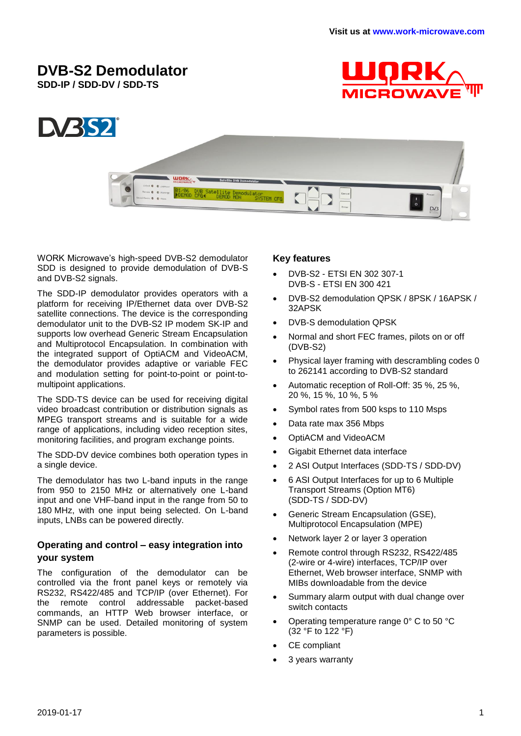# **DVB-S2 Demodulator**

**SDD-IP / SDD-DV / SDD-TS**





WORK Microwave's high-speed DVB-S2 demodulator SDD is designed to provide demodulation of DVB-S and DVB-S2 signals.

The SDD-IP demodulator provides operators with a platform for receiving IP/Ethernet data over DVB-S2 satellite connections. The device is the corresponding demodulator unit to the DVB-S2 IP modem SK-IP and supports low overhead Generic Stream Encapsulation and Multiprotocol Encapsulation. In combination with the integrated support of OptiACM and VideoACM, the demodulator provides adaptive or variable FEC and modulation setting for point-to-point or point-tomultipoint applications.

The SDD-TS device can be used for receiving digital video broadcast contribution or distribution signals as MPEG transport streams and is suitable for a wide range of applications, including video reception sites, monitoring facilities, and program exchange points.

The SDD-DV device combines both operation types in a single device.

The demodulator has two L-band inputs in the range from 950 to 2150 MHz or alternatively one L-band input and one VHF-band input in the range from 50 to 180 MHz, with one input being selected. On L-band inputs, LNBs can be powered directly.

### **Operating and control – easy integration into your system**

The configuration of the demodulator can be controlled via the front panel keys or remotely via RS232, RS422/485 and TCP/IP (over Ethernet). For the remote control addressable packet-based commands, an HTTP Web browser interface, or SNMP can be used. Detailed monitoring of system parameters is possible.

### **Key features**

- DVB-S2 ETSI EN 302 307-1 DVB-S - ETSI EN 300 421
- DVB-S2 demodulation QPSK / 8PSK / 16APSK / 32APSK
- DVB-S demodulation QPSK
- Normal and short FEC frames, pilots on or off (DVB-S2)
- Physical layer framing with descrambling codes 0 to 262141 according to DVB-S2 standard
- Automatic reception of Roll-Off: 35 %, 25 %, 20 %, 15 %, 10 %, 5 %
- Symbol rates from 500 ksps to 110 Msps
- Data rate max 356 Mbps
- OptiACM and VideoACM
- Gigabit Ethernet data interface
- 2 ASI Output Interfaces (SDD-TS / SDD-DV)
- 6 ASI Output Interfaces for up to 6 Multiple Transport Streams (Option MT6) (SDD-TS / SDD-DV)
- Generic Stream Encapsulation (GSE), Multiprotocol Encapsulation (MPE)
- Network layer 2 or layer 3 operation
- Remote control through RS232, RS422/485 (2-wire or 4-wire) interfaces, TCP/IP over Ethernet, Web browser interface, SNMP with MIBs downloadable from the device
- Summary alarm output with dual change over switch contacts
- Operating temperature range 0° C to 50 °C (32 °F to 122 °F)
- CE compliant
- 3 years warranty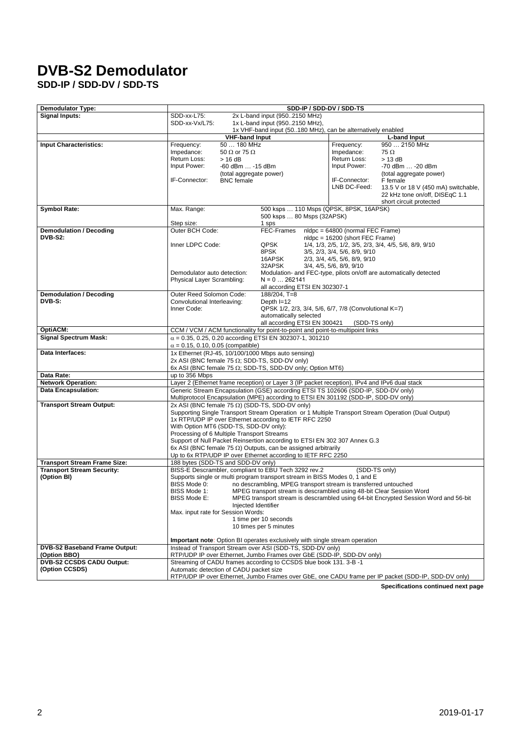# **DVB-S2 Demodulator**

**SDD-IP / SDD-DV / SDD-TS**

| <b>Demodulator Type:</b>                                                 |                                                                                                                                                                                                                                            | SDD-IP / SDD-DV / SDD-TS                                                     |                                  |                                                                                     |
|--------------------------------------------------------------------------|--------------------------------------------------------------------------------------------------------------------------------------------------------------------------------------------------------------------------------------------|------------------------------------------------------------------------------|----------------------------------|-------------------------------------------------------------------------------------|
| <b>Signal Inputs:</b>                                                    | 2x L-band input (9502150 MHz)<br>SDD-xx-L75:                                                                                                                                                                                               |                                                                              |                                  |                                                                                     |
|                                                                          | SDD-xx-Vx/L75:<br>1x L-band input (9502150 MHz),                                                                                                                                                                                           |                                                                              |                                  |                                                                                     |
|                                                                          |                                                                                                                                                                                                                                            | 1x VHF-band input (50180 MHz), can be alternatively enabled                  |                                  |                                                                                     |
| <b>Input Characteristics:</b>                                            | <b>VHF-band Input</b><br>50  180 MHz<br>Frequency:                                                                                                                                                                                         |                                                                              | Frequency:                       | <b>L-band Input</b><br>950  2150 MHz                                                |
|                                                                          | Impedance:<br>50 $\Omega$ or 75 $\Omega$                                                                                                                                                                                                   |                                                                              | Impedance:                       | 75 Ω                                                                                |
|                                                                          | Return Loss:<br>> 16 dB                                                                                                                                                                                                                    |                                                                              | Return Loss:                     | $> 13$ dB                                                                           |
|                                                                          | Input Power:<br>-60 dBm  -15 dBm                                                                                                                                                                                                           |                                                                              | Input Power:                     | -70 dBm  -20 dBm                                                                    |
|                                                                          | (total aggregate power)                                                                                                                                                                                                                    |                                                                              |                                  | (total aggregate power)                                                             |
|                                                                          | IF-Connector:<br><b>BNC</b> female                                                                                                                                                                                                         |                                                                              | IF-Connector:<br>LNB DC-Feed:    | F female                                                                            |
|                                                                          |                                                                                                                                                                                                                                            |                                                                              |                                  | 13.5 V or 18 V (450 mA) switchable,<br>22 kHz tone on/off, DISEqC 1.1               |
|                                                                          |                                                                                                                                                                                                                                            |                                                                              |                                  | short circuit protected                                                             |
| <b>Symbol Rate:</b>                                                      | Max. Range:                                                                                                                                                                                                                                | 500 ksps  110 Msps (QPSK, 8PSK, 16APSK)                                      |                                  |                                                                                     |
|                                                                          |                                                                                                                                                                                                                                            | 500 ksps  80 Msps (32APSK)                                                   |                                  |                                                                                     |
| <b>Demodulation / Decoding</b>                                           | Step size:<br>Outer BCH Code:                                                                                                                                                                                                              | 1 sps<br>FEC-Frames                                                          | nldpc = 64800 (normal FEC Frame) |                                                                                     |
| <b>DVB-S2:</b>                                                           |                                                                                                                                                                                                                                            |                                                                              | nldpc = 16200 (short FEC Frame)  |                                                                                     |
|                                                                          | Inner LDPC Code:                                                                                                                                                                                                                           | QPSK                                                                         |                                  | 1/4, 1/3, 2/5, 1/2, 3/5, 2/3, 3/4, 4/5, 5/6, 8/9, 9/10                              |
|                                                                          |                                                                                                                                                                                                                                            | 8PSK                                                                         | 3/5, 2/3, 3/4, 5/6, 8/9, 9/10    |                                                                                     |
|                                                                          |                                                                                                                                                                                                                                            | 16APSK                                                                       | 2/3, 3/4, 4/5, 5/6, 8/9, 9/10    |                                                                                     |
|                                                                          | Demodulator auto detection:                                                                                                                                                                                                                | 32APSK<br>Modulation- and FEC-type, pilots on/off are automatically detected | 3/4, 4/5, 5/6, 8/9, 9/10         |                                                                                     |
|                                                                          | Physical Layer Scrambling:                                                                                                                                                                                                                 | $N = 0$ 262141                                                               |                                  |                                                                                     |
|                                                                          |                                                                                                                                                                                                                                            | all according ETSI EN 302307-1                                               |                                  |                                                                                     |
| <b>Demodulation / Decoding</b>                                           | Outer Reed Solomon Code:                                                                                                                                                                                                                   | $188/204$ , T=8                                                              |                                  |                                                                                     |
| DVB-S:                                                                   | Convolutional Interleaving:<br>Inner Code:                                                                                                                                                                                                 | Depth $I=12$<br>QPSK 1/2, 2/3, 3/4, 5/6, 6/7, 7/8 (Convolutional K=7)        |                                  |                                                                                     |
|                                                                          |                                                                                                                                                                                                                                            | automatically selected                                                       |                                  |                                                                                     |
|                                                                          |                                                                                                                                                                                                                                            | all according ETSI EN 300421                                                 | (SDD-TS only)                    |                                                                                     |
| OptiACM:                                                                 | CCM / VCM / ACM functionality for point-to-point and point-to-multipoint links                                                                                                                                                             |                                                                              |                                  |                                                                                     |
| <b>Signal Spectrum Mask:</b>                                             | $\alpha$ = 0.35, 0.25, 0.20 according ETSI EN 302307-1, 301210                                                                                                                                                                             |                                                                              |                                  |                                                                                     |
| Data Interfaces:                                                         | $\alpha$ = 0.15, 0.10, 0.05 (compatible)<br>1x Ethernet (RJ-45, 10/100/1000 Mbps auto sensing)                                                                                                                                             |                                                                              |                                  |                                                                                     |
|                                                                          | 2x ASI (BNC female 75 $\Omega$ ; SDD-TS, SDD-DV only)                                                                                                                                                                                      |                                                                              |                                  |                                                                                     |
|                                                                          | 6x ASI (BNC female 75 $\Omega$ ; SDD-TS, SDD-DV only; Option MT6)                                                                                                                                                                          |                                                                              |                                  |                                                                                     |
| Data Rate:                                                               | up to 356 Mbps                                                                                                                                                                                                                             |                                                                              |                                  |                                                                                     |
| <b>Network Operation:</b>                                                | Layer 2 (Ethernet frame reception) or Layer 3 (IP packet reception), IPv4 and IPv6 dual stack<br>Generic Stream Encapsulation (GSE) according ETSI TS 102606 (SDD-IP, SDD-DV only)                                                         |                                                                              |                                  |                                                                                     |
| <b>Data Encapsulation:</b>                                               | Multiprotocol Encapsulation (MPE) according to ETSI EN 301192 (SDD-IP, SDD-DV only)                                                                                                                                                        |                                                                              |                                  |                                                                                     |
| <b>Transport Stream Output:</b>                                          | 2x ASI (BNC female 75 $\Omega$ ) (SDD-TS, SDD-DV only)                                                                                                                                                                                     |                                                                              |                                  |                                                                                     |
|                                                                          | Supporting Single Transport Stream Operation or 1 Multiple Transport Stream Operation (Dual Output)                                                                                                                                        |                                                                              |                                  |                                                                                     |
|                                                                          | 1x RTP/UDP IP over Ethernet according to IETF RFC 2250                                                                                                                                                                                     |                                                                              |                                  |                                                                                     |
|                                                                          | With Option MT6 (SDD-TS, SDD-DV only):<br>Processing of 6 Multiple Transport Streams<br>Support of Null Packet Reinsertion according to ETSI EN 302 307 Annex G.3<br>6x ASI (BNC female 75 $\Omega$ ) Outputs, can be assigned arbitrarily |                                                                              |                                  |                                                                                     |
|                                                                          |                                                                                                                                                                                                                                            |                                                                              |                                  |                                                                                     |
|                                                                          |                                                                                                                                                                                                                                            |                                                                              |                                  |                                                                                     |
|                                                                          | Up to 6x RTP/UDP IP over Ethernet according to IETF RFC 2250                                                                                                                                                                               |                                                                              |                                  |                                                                                     |
| <b>Transport Stream Frame Size:</b><br><b>Transport Stream Security:</b> | 188 bytes (SDD-TS and SDD-DV only)<br>BISS-E Descrambler, compliant to EBU Tech 3292 rev.2                                                                                                                                                 |                                                                              | (SDD-TS only)                    |                                                                                     |
| (Option BI)                                                              | Supports single or multi program transport stream in BISS Modes 0, 1 and E                                                                                                                                                                 |                                                                              |                                  |                                                                                     |
|                                                                          | BISS Mode 0:                                                                                                                                                                                                                               | no descrambling, MPEG transport stream is transferred untouched              |                                  |                                                                                     |
|                                                                          | BISS Mode 1:                                                                                                                                                                                                                               | MPEG transport stream is descrambled using 48-bit Clear Session Word         |                                  |                                                                                     |
|                                                                          | <b>BISS Mode E:</b>                                                                                                                                                                                                                        |                                                                              |                                  | MPEG transport stream is descrambled using 64-bit Encrypted Session Word and 56-bit |
|                                                                          | Max. input rate for Session Words:                                                                                                                                                                                                         | Injected Identifier                                                          |                                  |                                                                                     |
|                                                                          |                                                                                                                                                                                                                                            | 1 time per 10 seconds                                                        |                                  |                                                                                     |
|                                                                          |                                                                                                                                                                                                                                            | 10 times per 5 minutes                                                       |                                  |                                                                                     |
|                                                                          |                                                                                                                                                                                                                                            |                                                                              |                                  |                                                                                     |
| DVB-S2 Baseband Frame Output:                                            | <b>Important note:</b> Option BI operates exclusively with single stream operation                                                                                                                                                         |                                                                              |                                  |                                                                                     |
| (Option BBO)                                                             | Instead of Transport Stream over ASI (SDD-TS, SDD-DV only)<br>RTP/UDP IP over Ethernet, Jumbo Frames over GbE (SDD-IP, SDD-DV only)                                                                                                        |                                                                              |                                  |                                                                                     |
| <b>DVB-S2 CCSDS CADU Output:</b>                                         | Streaming of CADU frames according to CCSDS blue book 131. 3-B -1                                                                                                                                                                          |                                                                              |                                  |                                                                                     |
| (Option CCSDS)                                                           | Automatic detection of CADU packet size<br>RTP/UDP IP over Ethernet, Jumbo Frames over GbE, one CADU frame per IP packet (SDD-IP, SDD-DV only)                                                                                             |                                                                              |                                  |                                                                                     |
|                                                                          |                                                                                                                                                                                                                                            |                                                                              |                                  |                                                                                     |

**Specifications continued next page**